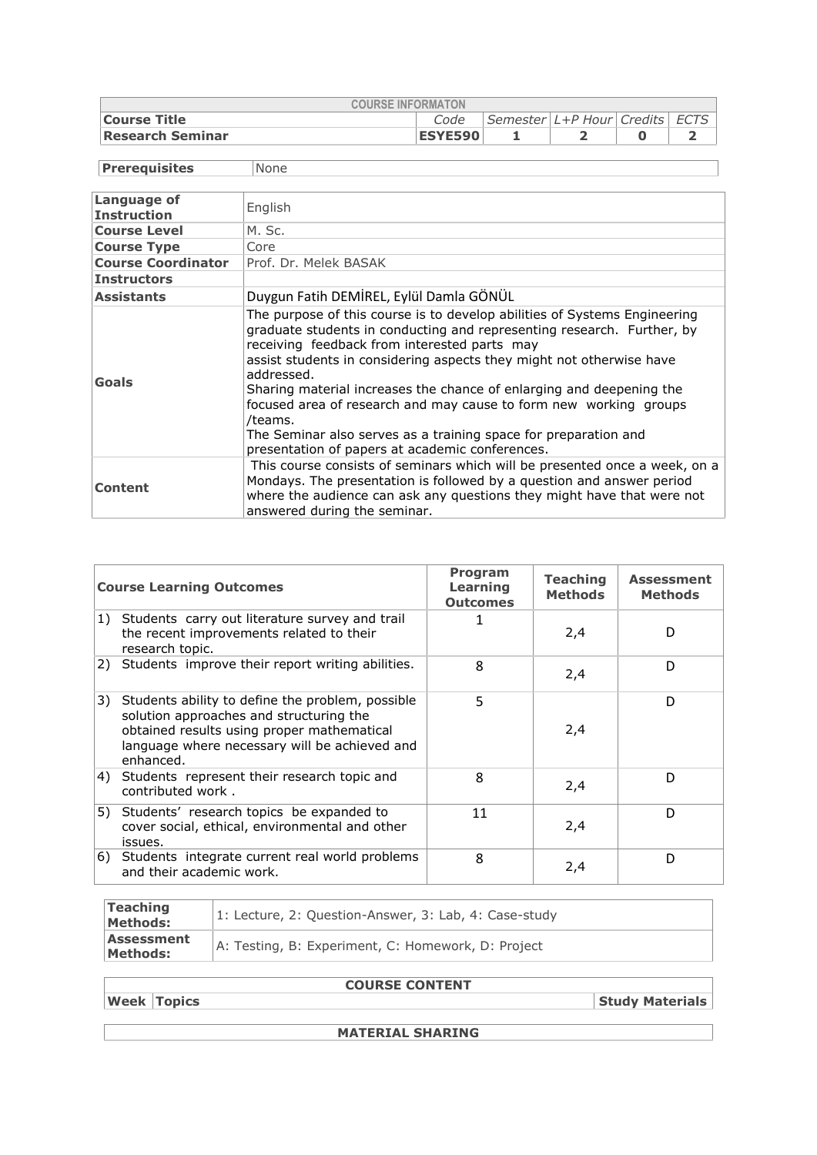| <b>COURSE INFORMATON</b> |                |                                      |  |  |  |  |  |
|--------------------------|----------------|--------------------------------------|--|--|--|--|--|
| Course Title             | Code           | Semester   L+P Hour   Credits   ECTS |  |  |  |  |  |
| Research Seminar         | <b>ESYE590</b> |                                      |  |  |  |  |  |

**Prerequisites** None

| Language of<br><b>Instruction</b> | English                                                                                                                                                                                                                                                                                                                                                                                                                                                                                                                                                                 |
|-----------------------------------|-------------------------------------------------------------------------------------------------------------------------------------------------------------------------------------------------------------------------------------------------------------------------------------------------------------------------------------------------------------------------------------------------------------------------------------------------------------------------------------------------------------------------------------------------------------------------|
| <b>Course Level</b>               | M. Sc.                                                                                                                                                                                                                                                                                                                                                                                                                                                                                                                                                                  |
| <b>Course Type</b>                | Core                                                                                                                                                                                                                                                                                                                                                                                                                                                                                                                                                                    |
| <b>Course Coordinator</b>         | Prof. Dr. Melek BASAK                                                                                                                                                                                                                                                                                                                                                                                                                                                                                                                                                   |
| <b>Instructors</b>                |                                                                                                                                                                                                                                                                                                                                                                                                                                                                                                                                                                         |
| <b>Assistants</b>                 | Duygun Fatih DEMİREL, Eylül Damla GÖNÜL                                                                                                                                                                                                                                                                                                                                                                                                                                                                                                                                 |
| <b>Goals</b>                      | The purpose of this course is to develop abilities of Systems Engineering<br>graduate students in conducting and representing research. Further, by<br>receiving feedback from interested parts may<br>assist students in considering aspects they might not otherwise have<br>addressed.<br>Sharing material increases the chance of enlarging and deepening the<br>focused area of research and may cause to form new working groups<br>/teams.<br>The Seminar also serves as a training space for preparation and<br>presentation of papers at academic conferences. |
| Content                           | This course consists of seminars which will be presented once a week, on a<br>Mondays. The presentation is followed by a question and answer period<br>where the audience can ask any questions they might have that were not<br>answered during the seminar.                                                                                                                                                                                                                                                                                                           |

| <b>Course Learning Outcomes</b> |                                                                                                                                                                                                         | Program<br>Learning<br><b>Outcomes</b> | <b>Teaching</b><br><b>Methods</b> | <b>Assessment</b><br><b>Methods</b> |
|---------------------------------|---------------------------------------------------------------------------------------------------------------------------------------------------------------------------------------------------------|----------------------------------------|-----------------------------------|-------------------------------------|
|                                 | 1) Students carry out literature survey and trail<br>the recent improvements related to their<br>research topic.                                                                                        |                                        | 2,4                               | D                                   |
|                                 | 2) Students improve their report writing abilities.                                                                                                                                                     | 8                                      | 2,4                               | D                                   |
| 3)                              | Students ability to define the problem, possible<br>solution approaches and structuring the<br>obtained results using proper mathematical<br>language where necessary will be achieved and<br>enhanced. | 5                                      | 2,4                               | D                                   |
|                                 | 4) Students represent their research topic and<br>contributed work.                                                                                                                                     | 8                                      | 2,4                               | D                                   |
|                                 | 5) Students' research topics be expanded to<br>cover social, ethical, environmental and other<br>issues.                                                                                                | 11                                     | 2,4                               | D                                   |
|                                 | 6) Students integrate current real world problems<br>and their academic work.                                                                                                                           | 8                                      | 2,4                               | D                                   |

| Teaching<br>Methods:   | 1: Lecture, 2: Question-Answer, 3: Lab, 4: Case-study |
|------------------------|-------------------------------------------------------|
| Assessment<br>Methods: | A: Testing, B: Experiment, C: Homework, D: Project    |

**COURSE CONTENT**

**Week Topics Study Materials** 

**MATERIAL SHARING**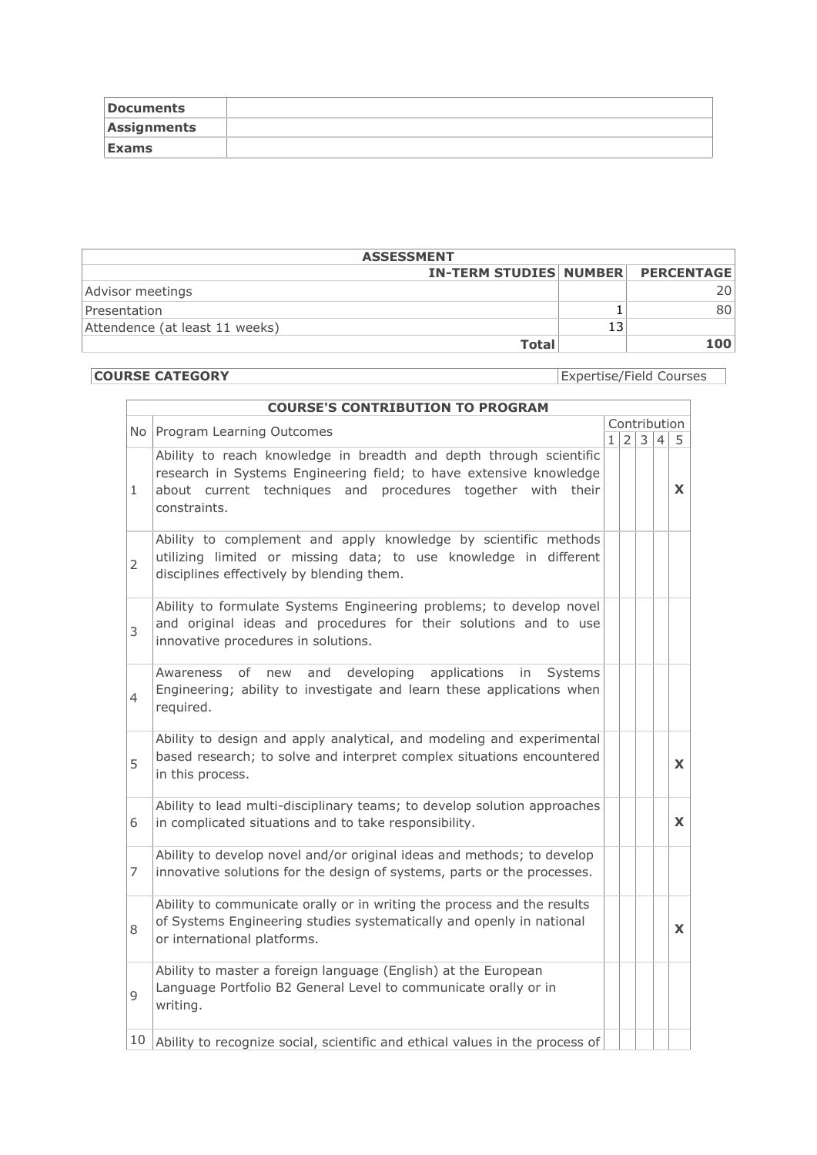| <b>Documents</b> |  |
|------------------|--|
| Assignments      |  |
| <b>Exams</b>     |  |

| <b>ASSESSMENT</b>                        |  |      |  |  |  |
|------------------------------------------|--|------|--|--|--|
| <b>IN-TERM STUDIES NUMBER PERCENTAGE</b> |  |      |  |  |  |
| Advisor meetings                         |  | ו 20 |  |  |  |
| Presentation                             |  | 801  |  |  |  |
| Attendence (at least 11 weeks)           |  |      |  |  |  |
| <b>Total</b>                             |  | 100  |  |  |  |

**COURSE CATEGORY** Expertise/Field Courses

|                | <b>COURSE'S CONTRIBUTION TO PROGRAM</b>                                                                                                                                                                                 |    |   |              |   |    |
|----------------|-------------------------------------------------------------------------------------------------------------------------------------------------------------------------------------------------------------------------|----|---|--------------|---|----|
|                | No Program Learning Outcomes                                                                                                                                                                                            |    |   | Contribution |   |    |
|                |                                                                                                                                                                                                                         | 1. | 2 | 3            | 4 | 5. |
| 1              | Ability to reach knowledge in breadth and depth through scientific<br>research in Systems Engineering field; to have extensive knowledge<br>about current techniques and procedures together with their<br>constraints. |    |   |              |   | X  |
| $\overline{2}$ | Ability to complement and apply knowledge by scientific methods<br>utilizing limited or missing data; to use knowledge in different<br>disciplines effectively by blending them.                                        |    |   |              |   |    |
| 3              | Ability to formulate Systems Engineering problems; to develop novel<br>and original ideas and procedures for their solutions and to use<br>innovative procedures in solutions.                                          |    |   |              |   |    |
| 4              | developing<br>applications<br>οf<br>and<br>Awareness<br>new<br>in<br><b>Systems</b><br>Engineering; ability to investigate and learn these applications when<br>required.                                               |    |   |              |   |    |
| 5              | Ability to design and apply analytical, and modeling and experimental<br>based research; to solve and interpret complex situations encountered<br>in this process.                                                      |    |   |              |   | X  |
| 6              | Ability to lead multi-disciplinary teams; to develop solution approaches<br>in complicated situations and to take responsibility.                                                                                       |    |   |              |   | X  |
| 7              | Ability to develop novel and/or original ideas and methods; to develop<br>innovative solutions for the design of systems, parts or the processes.                                                                       |    |   |              |   |    |
| 8              | Ability to communicate orally or in writing the process and the results<br>of Systems Engineering studies systematically and openly in national<br>or international platforms.                                          |    |   |              |   | X  |
| 9              | Ability to master a foreign language (English) at the European<br>Language Portfolio B2 General Level to communicate orally or in<br>writing.                                                                           |    |   |              |   |    |
| 10             | Ability to recognize social, scientific and ethical values in the process of                                                                                                                                            |    |   |              |   |    |